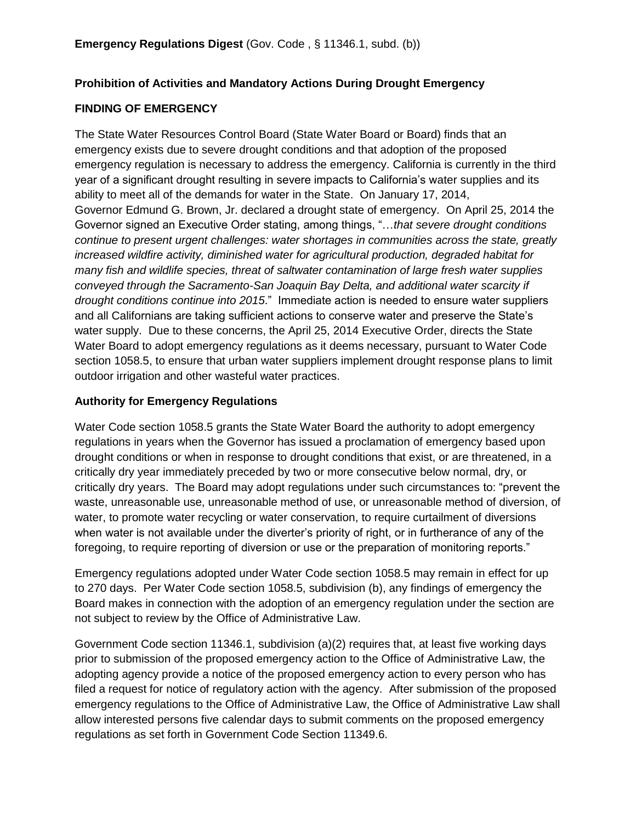### **Prohibition of Activities and Mandatory Actions During Drought Emergency**

### **FINDING OF EMERGENCY**

The State Water Resources Control Board (State Water Board or Board) finds that an emergency exists due to severe drought conditions and that adoption of the proposed emergency regulation is necessary to address the emergency. California is currently in the third year of a significant drought resulting in severe impacts to California's water supplies and its ability to meet all of the demands for water in the State. On January 17, 2014, Governor Edmund G. Brown, Jr. declared a drought state of emergency. On April 25, 2014 the Governor signed an Executive Order stating, among things, "…*that severe drought conditions continue to present urgent challenges: water shortages in communities across the state, greatly increased wildfire activity, diminished water for agricultural production, degraded habitat for many fish and wildlife species, threat of saltwater contamination of large fresh water supplies conveyed through the Sacramento-San Joaquin Bay Delta, and additional water scarcity if drought conditions continue into 2015*." Immediate action is needed to ensure water suppliers and all Californians are taking sufficient actions to conserve water and preserve the State's water supply. Due to these concerns, the April 25, 2014 Executive Order, directs the State Water Board to adopt emergency regulations as it deems necessary, pursuant to Water Code section 1058.5, to ensure that urban water suppliers implement drought response plans to limit outdoor irrigation and other wasteful water practices.

### **Authority for Emergency Regulations**

Water Code section 1058.5 grants the State Water Board the authority to adopt emergency regulations in years when the Governor has issued a proclamation of emergency based upon drought conditions or when in response to drought conditions that exist, or are threatened, in a critically dry year immediately preceded by two or more consecutive below normal, dry, or critically dry years. The Board may adopt regulations under such circumstances to: "prevent the waste, unreasonable use, unreasonable method of use, or unreasonable method of diversion, of water, to promote water recycling or water conservation, to require curtailment of diversions when water is not available under the diverter's priority of right, or in furtherance of any of the foregoing, to require reporting of diversion or use or the preparation of monitoring reports."

Emergency regulations adopted under Water Code section 1058.5 may remain in effect for up to 270 days. Per Water Code section 1058.5, subdivision (b), any findings of emergency the Board makes in connection with the adoption of an emergency regulation under the section are not subject to review by the Office of Administrative Law.

Government Code section 11346.1, subdivision (a)(2) requires that, at least five working days prior to submission of the proposed emergency action to the Office of Administrative Law, the adopting agency provide a notice of the proposed emergency action to every person who has filed a request for notice of regulatory action with the agency. After submission of the proposed emergency regulations to the Office of Administrative Law, the Office of Administrative Law shall allow interested persons five calendar days to submit comments on the proposed emergency regulations as set forth in Government Code Section 11349.6.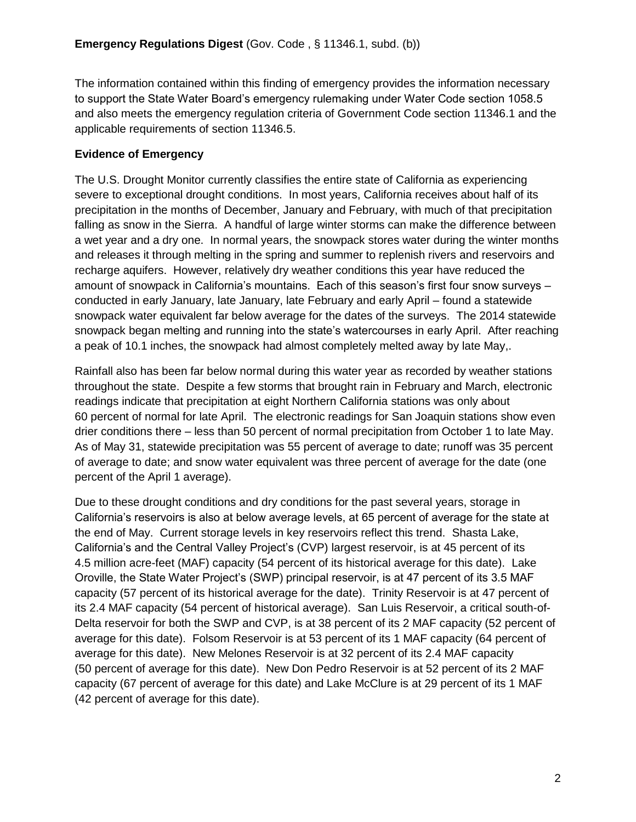The information contained within this finding of emergency provides the information necessary to support the State Water Board's emergency rulemaking under Water Code section 1058.5 and also meets the emergency regulation criteria of Government Code section 11346.1 and the applicable requirements of section 11346.5.

### **Evidence of Emergency**

The U.S. Drought Monitor currently classifies the entire state of California as experiencing severe to exceptional drought conditions. In most years, California receives about half of its precipitation in the months of December, January and February, with much of that precipitation falling as snow in the Sierra. A handful of large winter storms can make the difference between a wet year and a dry one. In normal years, the snowpack stores water during the winter months and releases it through melting in the spring and summer to replenish rivers and reservoirs and recharge aquifers. However, relatively dry weather conditions this year have reduced the amount of snowpack in California's mountains. Each of this season's first four snow surveys – conducted in early January, late January, late February and early April – found a statewide snowpack water equivalent far below average for the dates of the surveys. The 2014 statewide snowpack began melting and running into the state's watercourses in early April. After reaching a peak of 10.1 inches, the snowpack had almost completely melted away by late May,.

Rainfall also has been far below normal during this water year as recorded by weather stations throughout the state. Despite a few storms that brought rain in February and March, electronic readings indicate that precipitation at eight Northern California stations was only about 60 percent of normal for late April. The electronic readings for San Joaquin stations show even drier conditions there – less than 50 percent of normal precipitation from October 1 to late May. As of May 31, statewide precipitation was 55 percent of average to date; runoff was 35 percent of average to date; and snow water equivalent was three percent of average for the date (one percent of the April 1 average).

Due to these drought conditions and dry conditions for the past several years, storage in California's reservoirs is also at below average levels, at 65 percent of average for the state at the end of May. Current storage levels in key reservoirs reflect this trend. Shasta Lake, California's and the Central Valley Project's (CVP) largest reservoir, is at 45 percent of its 4.5 million acre-feet (MAF) capacity (54 percent of its historical average for this date). Lake Oroville, the State Water Project's (SWP) principal reservoir, is at 47 percent of its 3.5 MAF capacity (57 percent of its historical average for the date). Trinity Reservoir is at 47 percent of its 2.4 MAF capacity (54 percent of historical average). San Luis Reservoir, a critical south-of-Delta reservoir for both the SWP and CVP, is at 38 percent of its 2 MAF capacity (52 percent of average for this date). Folsom Reservoir is at 53 percent of its 1 MAF capacity (64 percent of average for this date). New Melones Reservoir is at 32 percent of its 2.4 MAF capacity (50 percent of average for this date). New Don Pedro Reservoir is at 52 percent of its 2 MAF capacity (67 percent of average for this date) and Lake McClure is at 29 percent of its 1 MAF (42 percent of average for this date).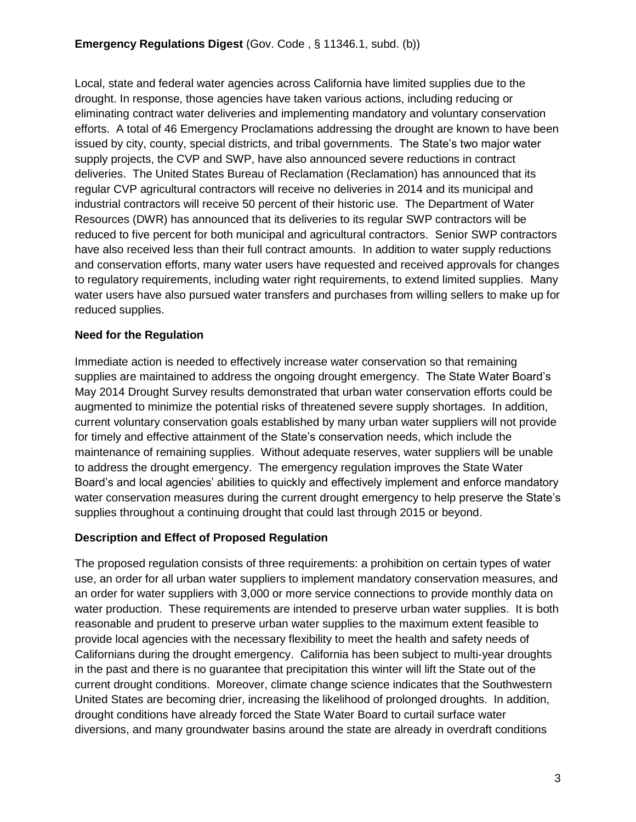Local, state and federal water agencies across California have limited supplies due to the drought. In response, those agencies have taken various actions, including reducing or eliminating contract water deliveries and implementing mandatory and voluntary conservation efforts. A total of 46 Emergency Proclamations addressing the drought are known to have been issued by city, county, special districts, and tribal governments. The State's two major water supply projects, the CVP and SWP, have also announced severe reductions in contract deliveries. The United States Bureau of Reclamation (Reclamation) has announced that its regular CVP agricultural contractors will receive no deliveries in 2014 and its municipal and industrial contractors will receive 50 percent of their historic use. The Department of Water Resources (DWR) has announced that its deliveries to its regular SWP contractors will be reduced to five percent for both municipal and agricultural contractors. Senior SWP contractors have also received less than their full contract amounts. In addition to water supply reductions and conservation efforts, many water users have requested and received approvals for changes to regulatory requirements, including water right requirements, to extend limited supplies. Many water users have also pursued water transfers and purchases from willing sellers to make up for reduced supplies.

### **Need for the Regulation**

Immediate action is needed to effectively increase water conservation so that remaining supplies are maintained to address the ongoing drought emergency. The State Water Board's May 2014 Drought Survey results demonstrated that urban water conservation efforts could be augmented to minimize the potential risks of threatened severe supply shortages. In addition, current voluntary conservation goals established by many urban water suppliers will not provide for timely and effective attainment of the State's conservation needs, which include the maintenance of remaining supplies. Without adequate reserves, water suppliers will be unable to address the drought emergency. The emergency regulation improves the State Water Board's and local agencies' abilities to quickly and effectively implement and enforce mandatory water conservation measures during the current drought emergency to help preserve the State's supplies throughout a continuing drought that could last through 2015 or beyond.

### **Description and Effect of Proposed Regulation**

The proposed regulation consists of three requirements: a prohibition on certain types of water use, an order for all urban water suppliers to implement mandatory conservation measures, and an order for water suppliers with 3,000 or more service connections to provide monthly data on water production. These requirements are intended to preserve urban water supplies. It is both reasonable and prudent to preserve urban water supplies to the maximum extent feasible to provide local agencies with the necessary flexibility to meet the health and safety needs of Californians during the drought emergency. California has been subject to multi-year droughts in the past and there is no guarantee that precipitation this winter will lift the State out of the current drought conditions. Moreover, climate change science indicates that the Southwestern United States are becoming drier, increasing the likelihood of prolonged droughts. In addition, drought conditions have already forced the State Water Board to curtail surface water diversions, and many groundwater basins around the state are already in overdraft conditions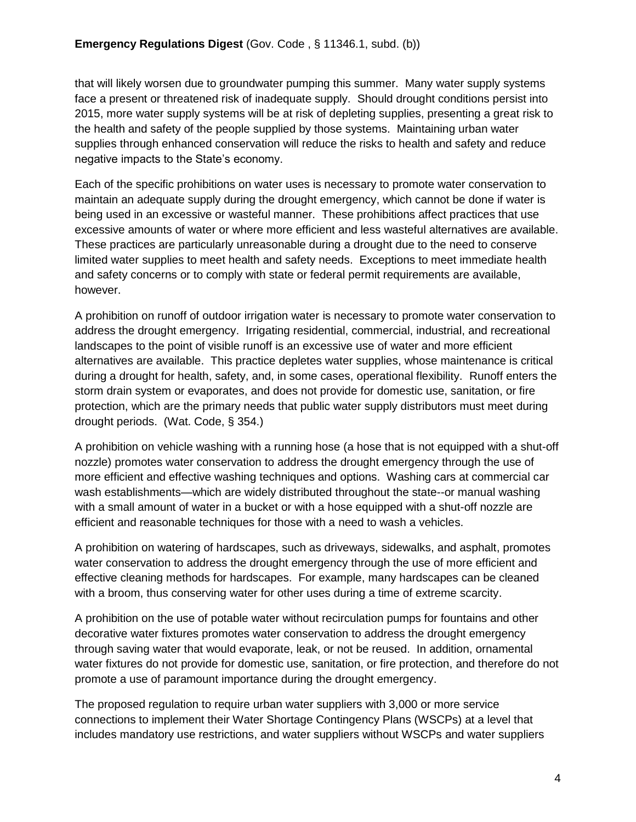that will likely worsen due to groundwater pumping this summer. Many water supply systems face a present or threatened risk of inadequate supply. Should drought conditions persist into 2015, more water supply systems will be at risk of depleting supplies, presenting a great risk to the health and safety of the people supplied by those systems. Maintaining urban water supplies through enhanced conservation will reduce the risks to health and safety and reduce negative impacts to the State's economy.

Each of the specific prohibitions on water uses is necessary to promote water conservation to maintain an adequate supply during the drought emergency, which cannot be done if water is being used in an excessive or wasteful manner. These prohibitions affect practices that use excessive amounts of water or where more efficient and less wasteful alternatives are available. These practices are particularly unreasonable during a drought due to the need to conserve limited water supplies to meet health and safety needs. Exceptions to meet immediate health and safety concerns or to comply with state or federal permit requirements are available, however.

A prohibition on runoff of outdoor irrigation water is necessary to promote water conservation to address the drought emergency. Irrigating residential, commercial, industrial, and recreational landscapes to the point of visible runoff is an excessive use of water and more efficient alternatives are available. This practice depletes water supplies, whose maintenance is critical during a drought for health, safety, and, in some cases, operational flexibility. Runoff enters the storm drain system or evaporates, and does not provide for domestic use, sanitation, or fire protection, which are the primary needs that public water supply distributors must meet during drought periods. (Wat. Code, § 354.)

A prohibition on vehicle washing with a running hose (a hose that is not equipped with a shut-off nozzle) promotes water conservation to address the drought emergency through the use of more efficient and effective washing techniques and options. Washing cars at commercial car wash establishments—which are widely distributed throughout the state--or manual washing with a small amount of water in a bucket or with a hose equipped with a shut-off nozzle are efficient and reasonable techniques for those with a need to wash a vehicles.

A prohibition on watering of hardscapes, such as driveways, sidewalks, and asphalt, promotes water conservation to address the drought emergency through the use of more efficient and effective cleaning methods for hardscapes. For example, many hardscapes can be cleaned with a broom, thus conserving water for other uses during a time of extreme scarcity.

A prohibition on the use of potable water without recirculation pumps for fountains and other decorative water fixtures promotes water conservation to address the drought emergency through saving water that would evaporate, leak, or not be reused. In addition, ornamental water fixtures do not provide for domestic use, sanitation, or fire protection, and therefore do not promote a use of paramount importance during the drought emergency.

The proposed regulation to require urban water suppliers with 3,000 or more service connections to implement their Water Shortage Contingency Plans (WSCPs) at a level that includes mandatory use restrictions, and water suppliers without WSCPs and water suppliers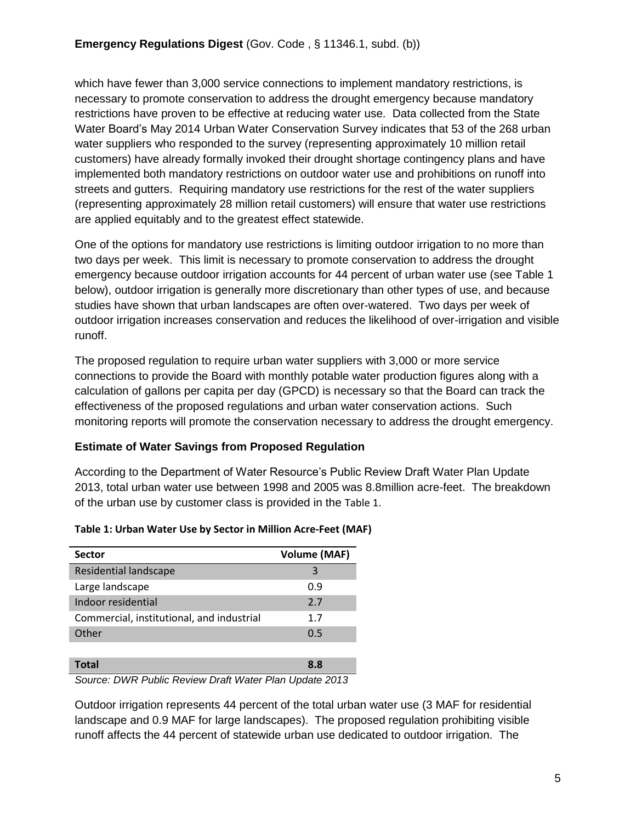which have fewer than 3,000 service connections to implement mandatory restrictions, is necessary to promote conservation to address the drought emergency because mandatory restrictions have proven to be effective at reducing water use. Data collected from the State Water Board's May 2014 Urban Water Conservation Survey indicates that 53 of the 268 urban water suppliers who responded to the survey (representing approximately 10 million retail customers) have already formally invoked their drought shortage contingency plans and have implemented both mandatory restrictions on outdoor water use and prohibitions on runoff into streets and gutters. Requiring mandatory use restrictions for the rest of the water suppliers (representing approximately 28 million retail customers) will ensure that water use restrictions are applied equitably and to the greatest effect statewide.

One of the options for mandatory use restrictions is limiting outdoor irrigation to no more than two days per week. This limit is necessary to promote conservation to address the drought emergency because outdoor irrigation accounts for 44 percent of urban water use (see Table 1 below), outdoor irrigation is generally more discretionary than other types of use, and because studies have shown that urban landscapes are often over-watered. Two days per week of outdoor irrigation increases conservation and reduces the likelihood of over-irrigation and visible runoff.

The proposed regulation to require urban water suppliers with 3,000 or more service connections to provide the Board with monthly potable water production figures along with a calculation of gallons per capita per day (GPCD) is necessary so that the Board can track the effectiveness of the proposed regulations and urban water conservation actions. Such monitoring reports will promote the conservation necessary to address the drought emergency.

### **Estimate of Water Savings from Proposed Regulation**

According to the Department of Water Resource's Public Review Draft Water Plan Update 2013, total urban water use between 1998 and 2005 was 8.8million acre-feet. The breakdown of the urban use by customer class is provided in the [Table](#page-4-0) 1.

| <b>Sector</b>                             | <b>Volume (MAF)</b> |
|-------------------------------------------|---------------------|
| <b>Residential landscape</b>              | 3                   |
| Large landscape                           | 0.9                 |
| Indoor residential                        | 2.7                 |
| Commercial, institutional, and industrial | 1.7                 |
| Other                                     | 0.5                 |
|                                           |                     |
| Total                                     | 8.8                 |

#### <span id="page-4-0"></span>**Table 1: Urban Water Use by Sector in Million Acre-Feet (MAF)**

*Source: DWR Public Review Draft Water Plan Update 2013*

Outdoor irrigation represents 44 percent of the total urban water use (3 MAF for residential landscape and 0.9 MAF for large landscapes). The proposed regulation prohibiting visible runoff affects the 44 percent of statewide urban use dedicated to outdoor irrigation. The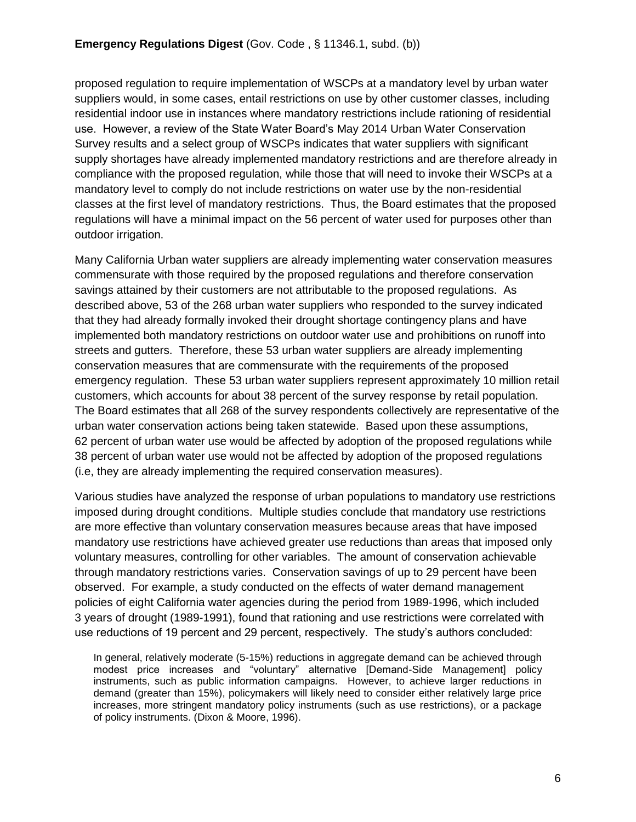proposed regulation to require implementation of WSCPs at a mandatory level by urban water suppliers would, in some cases, entail restrictions on use by other customer classes, including residential indoor use in instances where mandatory restrictions include rationing of residential use. However, a review of the State Water Board's May 2014 Urban Water Conservation Survey results and a select group of WSCPs indicates that water suppliers with significant supply shortages have already implemented mandatory restrictions and are therefore already in compliance with the proposed regulation, while those that will need to invoke their WSCPs at a mandatory level to comply do not include restrictions on water use by the non-residential classes at the first level of mandatory restrictions. Thus, the Board estimates that the proposed regulations will have a minimal impact on the 56 percent of water used for purposes other than outdoor irrigation.

Many California Urban water suppliers are already implementing water conservation measures commensurate with those required by the proposed regulations and therefore conservation savings attained by their customers are not attributable to the proposed regulations. As described above, 53 of the 268 urban water suppliers who responded to the survey indicated that they had already formally invoked their drought shortage contingency plans and have implemented both mandatory restrictions on outdoor water use and prohibitions on runoff into streets and gutters. Therefore, these 53 urban water suppliers are already implementing conservation measures that are commensurate with the requirements of the proposed emergency regulation. These 53 urban water suppliers represent approximately 10 million retail customers, which accounts for about 38 percent of the survey response by retail population. The Board estimates that all 268 of the survey respondents collectively are representative of the urban water conservation actions being taken statewide. Based upon these assumptions, 62 percent of urban water use would be affected by adoption of the proposed regulations while 38 percent of urban water use would not be affected by adoption of the proposed regulations (i.e, they are already implementing the required conservation measures).

Various studies have analyzed the response of urban populations to mandatory use restrictions imposed during drought conditions. Multiple studies conclude that mandatory use restrictions are more effective than voluntary conservation measures because areas that have imposed mandatory use restrictions have achieved greater use reductions than areas that imposed only voluntary measures, controlling for other variables. The amount of conservation achievable through mandatory restrictions varies. Conservation savings of up to 29 percent have been observed. For example, a study conducted on the effects of water demand management policies of eight California water agencies during the period from 1989-1996, which included 3 years of drought (1989-1991), found that rationing and use restrictions were correlated with use reductions of 19 percent and 29 percent, respectively. The study's authors concluded:

In general, relatively moderate (5-15%) reductions in aggregate demand can be achieved through modest price increases and "voluntary" alternative [Demand-Side Management] policy instruments, such as public information campaigns. However, to achieve larger reductions in demand (greater than 15%), policymakers will likely need to consider either relatively large price increases, more stringent mandatory policy instruments (such as use restrictions), or a package of policy instruments. (Dixon & Moore, 1996).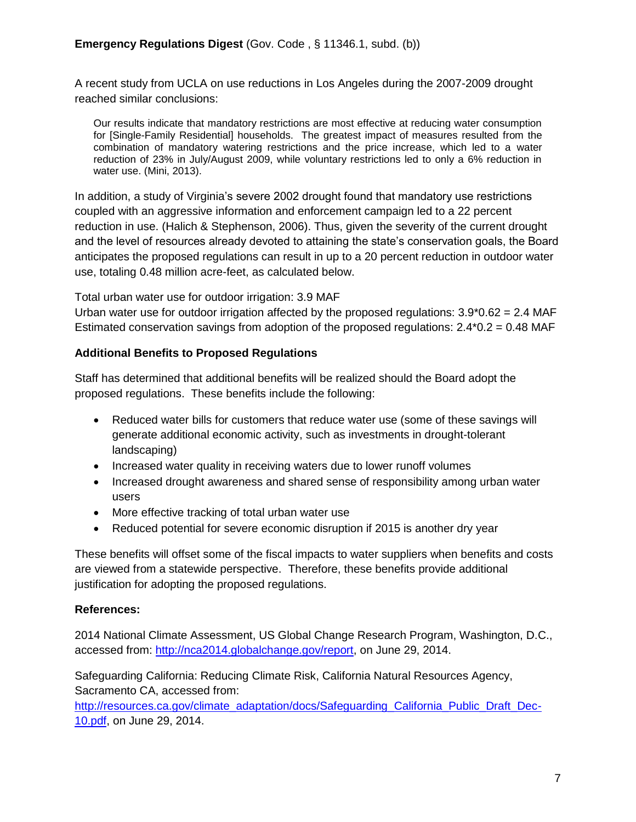A recent study from UCLA on use reductions in Los Angeles during the 2007-2009 drought reached similar conclusions:

Our results indicate that mandatory restrictions are most effective at reducing water consumption for [Single-Family Residential] households. The greatest impact of measures resulted from the combination of mandatory watering restrictions and the price increase, which led to a water reduction of 23% in July/August 2009, while voluntary restrictions led to only a 6% reduction in water use. (Mini, 2013).

In addition, a study of Virginia's severe 2002 drought found that mandatory use restrictions coupled with an aggressive information and enforcement campaign led to a 22 percent reduction in use. (Halich & Stephenson, 2006). Thus, given the severity of the current drought and the level of resources already devoted to attaining the state's conservation goals, the Board anticipates the proposed regulations can result in up to a 20 percent reduction in outdoor water use, totaling 0.48 million acre-feet, as calculated below.

Total urban water use for outdoor irrigation: 3.9 MAF

Urban water use for outdoor irrigation affected by the proposed regulations:  $3.9*0.62 = 2.4$  MAF Estimated conservation savings from adoption of the proposed regulations:  $2.4*0.2 = 0.48$  MAF

#### **Additional Benefits to Proposed Regulations**

Staff has determined that additional benefits will be realized should the Board adopt the proposed regulations. These benefits include the following:

- Reduced water bills for customers that reduce water use (some of these savings will generate additional economic activity, such as investments in drought-tolerant landscaping)
- Increased water quality in receiving waters due to lower runoff volumes
- Increased drought awareness and shared sense of responsibility among urban water users
- More effective tracking of total urban water use
- Reduced potential for severe economic disruption if 2015 is another dry year

These benefits will offset some of the fiscal impacts to water suppliers when benefits and costs are viewed from a statewide perspective. Therefore, these benefits provide additional justification for adopting the proposed regulations.

#### **References:**

2014 National Climate Assessment, US Global Change Research Program, Washington, D.C., accessed from: [http://nca2014.globalchange.gov/report,](http://nca2014.globalchange.gov/report) on June 29, 2014.

Safeguarding California: Reducing Climate Risk, California Natural Resources Agency, Sacramento CA, accessed from:

[http://resources.ca.gov/climate\\_adaptation/docs/Safeguarding\\_California\\_Public\\_Draft\\_Dec-](http://resources.ca.gov/climate_adaptation/docs/Safeguarding_California_Public_Draft_Dec-10.pdf)[10.pdf,](http://resources.ca.gov/climate_adaptation/docs/Safeguarding_California_Public_Draft_Dec-10.pdf) on June 29, 2014.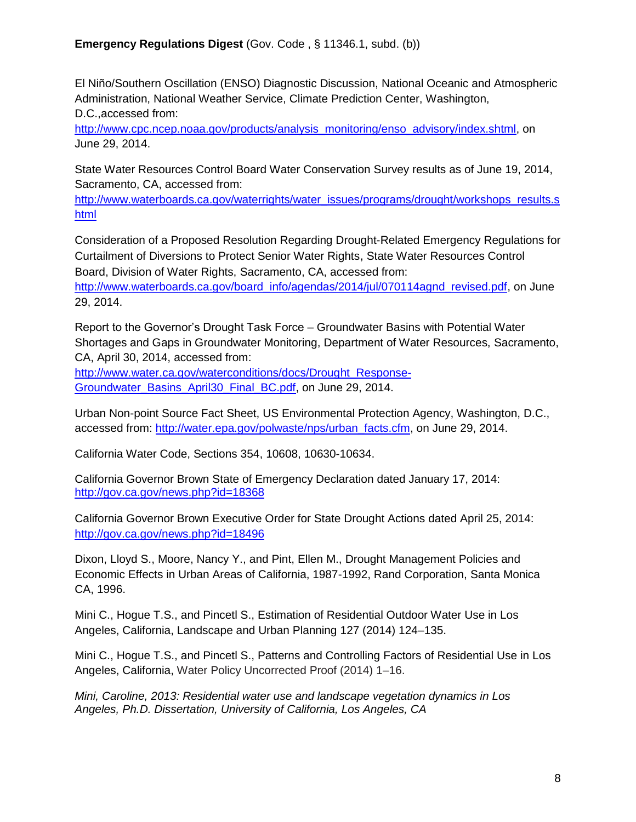El Niño/Southern Oscillation (ENSO) Diagnostic Discussion, National Oceanic and Atmospheric Administration, National Weather Service, Climate Prediction Center, Washington, D.C.,accessed from:

[http://www.cpc.ncep.noaa.gov/products/analysis\\_monitoring/enso\\_advisory/index.shtml,](http://www.cpc.ncep.noaa.gov/products/analysis_monitoring/enso_advisory/index.shtml) on June 29, 2014.

State Water Resources Control Board Water Conservation Survey results as of June 19, 2014, Sacramento, CA, accessed from:

[http://www.waterboards.ca.gov/waterrights/water\\_issues/programs/drought/workshops\\_results.s](http://www.waterboards.ca.gov/waterrights/water_issues/programs/drought/workshops_results.shtml) [html](http://www.waterboards.ca.gov/waterrights/water_issues/programs/drought/workshops_results.shtml)

Consideration of a Proposed Resolution Regarding Drought-Related Emergency Regulations for Curtailment of Diversions to Protect Senior Water Rights, State Water Resources Control Board, Division of Water Rights, Sacramento, CA, accessed from:

[http://www.waterboards.ca.gov/board\\_info/agendas/2014/jul/070114agnd\\_revised.pdf,](http://www.waterboards.ca.gov/board_info/agendas/2014/jul/070114agnd_revised.pdf) on June 29, 2014.

Report to the Governor's Drought Task Force – Groundwater Basins with Potential Water Shortages and Gaps in Groundwater Monitoring, Department of Water Resources, Sacramento, CA, April 30, 2014, accessed from:

[http://www.water.ca.gov/waterconditions/docs/Drought\\_Response-](http://www.water.ca.gov/waterconditions/docs/Drought_Response-Groundwater_Basins_April30_Final_BC.pdf)[Groundwater\\_Basins\\_April30\\_Final\\_BC.pdf,](http://www.water.ca.gov/waterconditions/docs/Drought_Response-Groundwater_Basins_April30_Final_BC.pdf) on June 29, 2014.

Urban Non-point Source Fact Sheet, US Environmental Protection Agency, Washington, D.C., accessed from: [http://water.epa.gov/polwaste/nps/urban\\_facts.cfm,](http://water.epa.gov/polwaste/nps/urban_facts.cfm) on June 29, 2014.

California Water Code, Sections 354, 10608, 10630-10634.

California Governor Brown State of Emergency Declaration dated January 17, 2014: <http://gov.ca.gov/news.php?id=18368>

California Governor Brown Executive Order for State Drought Actions dated April 25, 2014: <http://gov.ca.gov/news.php?id=18496>

Dixon, Lloyd S., Moore, Nancy Y., and Pint, Ellen M., Drought Management Policies and Economic Effects in Urban Areas of California, 1987-1992, Rand Corporation, Santa Monica CA, 1996.

Mini C., Hogue T.S., and Pincetl S., Estimation of Residential Outdoor Water Use in Los Angeles, California, Landscape and Urban Planning 127 (2014) 124–135.

Mini C., Hogue T.S., and Pincetl S., Patterns and Controlling Factors of Residential Use in Los Angeles, California, Water Policy Uncorrected Proof (2014) 1–16.

*Mini, Caroline, 2013: Residential water use and landscape vegetation dynamics in Los Angeles, Ph.D. Dissertation, University of California, Los Angeles, CA*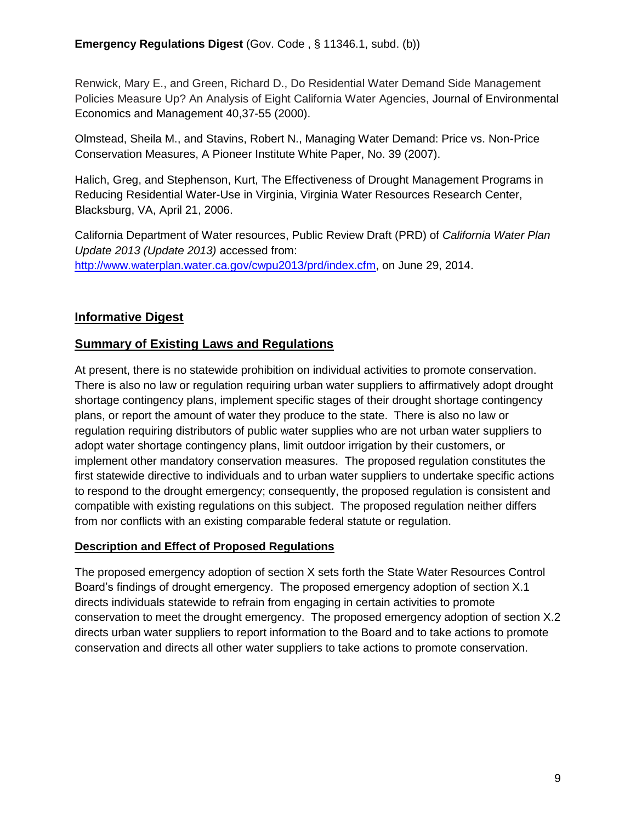Renwick, Mary E., and Green, Richard D., Do Residential Water Demand Side Management Policies Measure Up? An Analysis of Eight California Water Agencies, Journal of Environmental Economics and Management 40,37-55 (2000).

Olmstead, Sheila M., and Stavins, Robert N., Managing Water Demand: Price vs. Non-Price Conservation Measures, A Pioneer Institute White Paper, No. 39 (2007).

Halich, Greg, and Stephenson, Kurt, The Effectiveness of Drought Management Programs in Reducing Residential Water-Use in Virginia, Virginia Water Resources Research Center, Blacksburg, VA, April 21, 2006.

California Department of Water resources, Public Review Draft (PRD) of *California Water Plan Update 2013 (Update 2013)* accessed from: [http://www.waterplan.water.ca.gov/cwpu2013/prd/index.cfm,](http://www.waterplan.water.ca.gov/cwpu2013/prd/index.cfm) on June 29, 2014.

# **Informative Digest**

## **Summary of Existing Laws and Regulations**

At present, there is no statewide prohibition on individual activities to promote conservation. There is also no law or regulation requiring urban water suppliers to affirmatively adopt drought shortage contingency plans, implement specific stages of their drought shortage contingency plans, or report the amount of water they produce to the state. There is also no law or regulation requiring distributors of public water supplies who are not urban water suppliers to adopt water shortage contingency plans, limit outdoor irrigation by their customers, or implement other mandatory conservation measures. The proposed regulation constitutes the first statewide directive to individuals and to urban water suppliers to undertake specific actions to respond to the drought emergency; consequently, the proposed regulation is consistent and compatible with existing regulations on this subject. The proposed regulation neither differs from nor conflicts with an existing comparable federal statute or regulation.

### **Description and Effect of Proposed Regulations**

The proposed emergency adoption of section X sets forth the State Water Resources Control Board's findings of drought emergency. The proposed emergency adoption of section X.1 directs individuals statewide to refrain from engaging in certain activities to promote conservation to meet the drought emergency. The proposed emergency adoption of section X.2 directs urban water suppliers to report information to the Board and to take actions to promote conservation and directs all other water suppliers to take actions to promote conservation.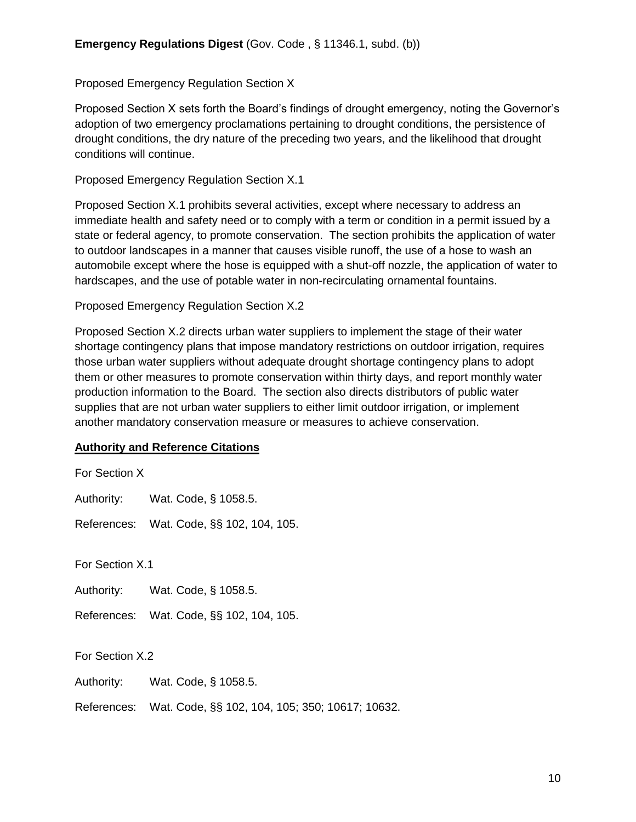Proposed Emergency Regulation Section X

Proposed Section X sets forth the Board's findings of drought emergency, noting the Governor's adoption of two emergency proclamations pertaining to drought conditions, the persistence of drought conditions, the dry nature of the preceding two years, and the likelihood that drought conditions will continue.

Proposed Emergency Regulation Section X.1

Proposed Section X.1 prohibits several activities, except where necessary to address an immediate health and safety need or to comply with a term or condition in a permit issued by a state or federal agency, to promote conservation. The section prohibits the application of water to outdoor landscapes in a manner that causes visible runoff, the use of a hose to wash an automobile except where the hose is equipped with a shut-off nozzle, the application of water to hardscapes, and the use of potable water in non-recirculating ornamental fountains.

Proposed Emergency Regulation Section X.2

Proposed Section X.2 directs urban water suppliers to implement the stage of their water shortage contingency plans that impose mandatory restrictions on outdoor irrigation, requires those urban water suppliers without adequate drought shortage contingency plans to adopt them or other measures to promote conservation within thirty days, and report monthly water production information to the Board. The section also directs distributors of public water supplies that are not urban water suppliers to either limit outdoor irrigation, or implement another mandatory conservation measure or measures to achieve conservation.

#### **Authority and Reference Citations**

| For Section X   |                                                             |  |
|-----------------|-------------------------------------------------------------|--|
|                 | Authority: Wat. Code, § 1058.5.                             |  |
|                 | References: Wat. Code, §§ 102, 104, 105.                    |  |
| For Section X.1 |                                                             |  |
|                 | Authority: Wat. Code, § 1058.5.                             |  |
|                 | References: Wat. Code, §§ 102, 104, 105.                    |  |
| For Section X.2 |                                                             |  |
|                 | Authority: Wat. Code, § 1058.5.                             |  |
|                 | References: Wat. Code, §§ 102, 104, 105; 350; 10617; 10632. |  |
|                 |                                                             |  |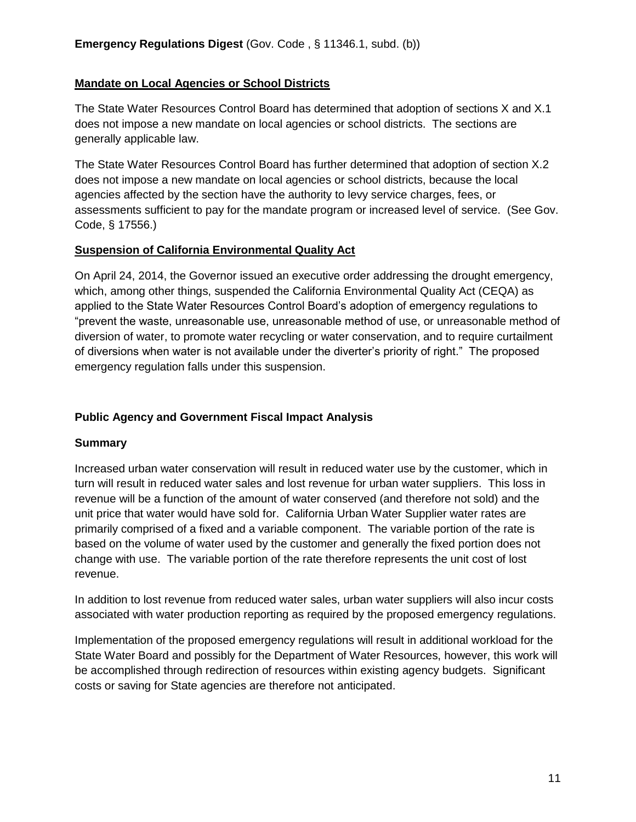### **Mandate on Local Agencies or School Districts**

The State Water Resources Control Board has determined that adoption of sections X and X.1 does not impose a new mandate on local agencies or school districts. The sections are generally applicable law.

The State Water Resources Control Board has further determined that adoption of section X.2 does not impose a new mandate on local agencies or school districts, because the local agencies affected by the section have the authority to levy service charges, fees, or assessments sufficient to pay for the mandate program or increased level of service. (See Gov. Code, § 17556.)

### **Suspension of California Environmental Quality Act**

On April 24, 2014, the Governor issued an executive order addressing the drought emergency, which, among other things, suspended the California Environmental Quality Act (CEQA) as applied to the State Water Resources Control Board's adoption of emergency regulations to "prevent the waste, unreasonable use, unreasonable method of use, or unreasonable method of diversion of water, to promote water recycling or water conservation, and to require curtailment of diversions when water is not available under the diverter's priority of right." The proposed emergency regulation falls under this suspension.

# **Public Agency and Government Fiscal Impact Analysis**

### **Summary**

Increased urban water conservation will result in reduced water use by the customer, which in turn will result in reduced water sales and lost revenue for urban water suppliers. This loss in revenue will be a function of the amount of water conserved (and therefore not sold) and the unit price that water would have sold for. California Urban Water Supplier water rates are primarily comprised of a fixed and a variable component. The variable portion of the rate is based on the volume of water used by the customer and generally the fixed portion does not change with use. The variable portion of the rate therefore represents the unit cost of lost revenue.

In addition to lost revenue from reduced water sales, urban water suppliers will also incur costs associated with water production reporting as required by the proposed emergency regulations.

Implementation of the proposed emergency regulations will result in additional workload for the State Water Board and possibly for the Department of Water Resources, however, this work will be accomplished through redirection of resources within existing agency budgets. Significant costs or saving for State agencies are therefore not anticipated.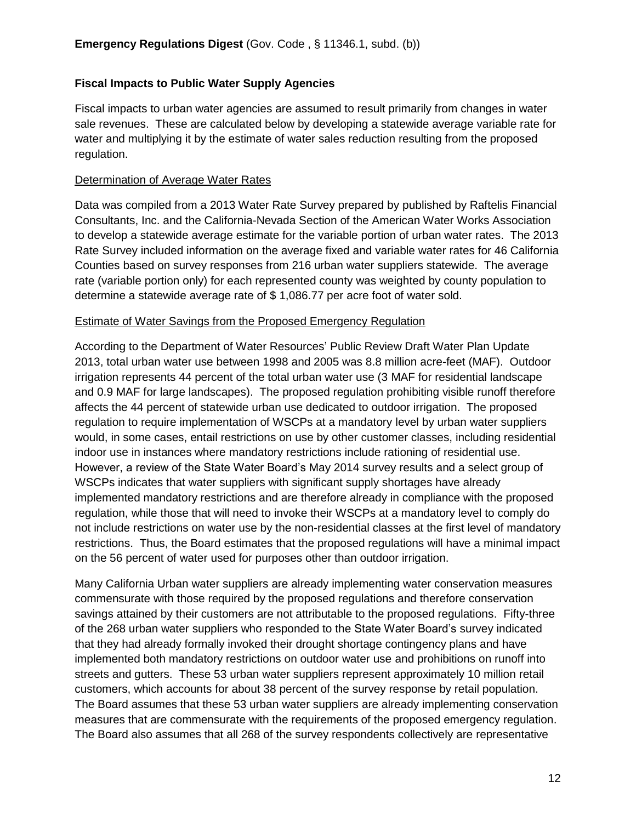#### **Fiscal Impacts to Public Water Supply Agencies**

Fiscal impacts to urban water agencies are assumed to result primarily from changes in water sale revenues. These are calculated below by developing a statewide average variable rate for water and multiplying it by the estimate of water sales reduction resulting from the proposed regulation.

#### Determination of Average Water Rates

Data was compiled from a 2013 Water Rate Survey prepared by published by Raftelis Financial Consultants, Inc. and the California-Nevada Section of the American Water Works Association to develop a statewide average estimate for the variable portion of urban water rates. The 2013 Rate Survey included information on the average fixed and variable water rates for 46 California Counties based on survey responses from 216 urban water suppliers statewide. The average rate (variable portion only) for each represented county was weighted by county population to determine a statewide average rate of \$ 1,086.77 per acre foot of water sold.

#### Estimate of Water Savings from the Proposed Emergency Regulation

According to the Department of Water Resources' Public Review Draft Water Plan Update 2013, total urban water use between 1998 and 2005 was 8.8 million acre-feet (MAF). Outdoor irrigation represents 44 percent of the total urban water use (3 MAF for residential landscape and 0.9 MAF for large landscapes). The proposed regulation prohibiting visible runoff therefore affects the 44 percent of statewide urban use dedicated to outdoor irrigation. The proposed regulation to require implementation of WSCPs at a mandatory level by urban water suppliers would, in some cases, entail restrictions on use by other customer classes, including residential indoor use in instances where mandatory restrictions include rationing of residential use. However, a review of the State Water Board's May 2014 survey results and a select group of WSCPs indicates that water suppliers with significant supply shortages have already implemented mandatory restrictions and are therefore already in compliance with the proposed regulation, while those that will need to invoke their WSCPs at a mandatory level to comply do not include restrictions on water use by the non-residential classes at the first level of mandatory restrictions. Thus, the Board estimates that the proposed regulations will have a minimal impact on the 56 percent of water used for purposes other than outdoor irrigation.

Many California Urban water suppliers are already implementing water conservation measures commensurate with those required by the proposed regulations and therefore conservation savings attained by their customers are not attributable to the proposed regulations. Fifty-three of the 268 urban water suppliers who responded to the State Water Board's survey indicated that they had already formally invoked their drought shortage contingency plans and have implemented both mandatory restrictions on outdoor water use and prohibitions on runoff into streets and gutters. These 53 urban water suppliers represent approximately 10 million retail customers, which accounts for about 38 percent of the survey response by retail population. The Board assumes that these 53 urban water suppliers are already implementing conservation measures that are commensurate with the requirements of the proposed emergency regulation. The Board also assumes that all 268 of the survey respondents collectively are representative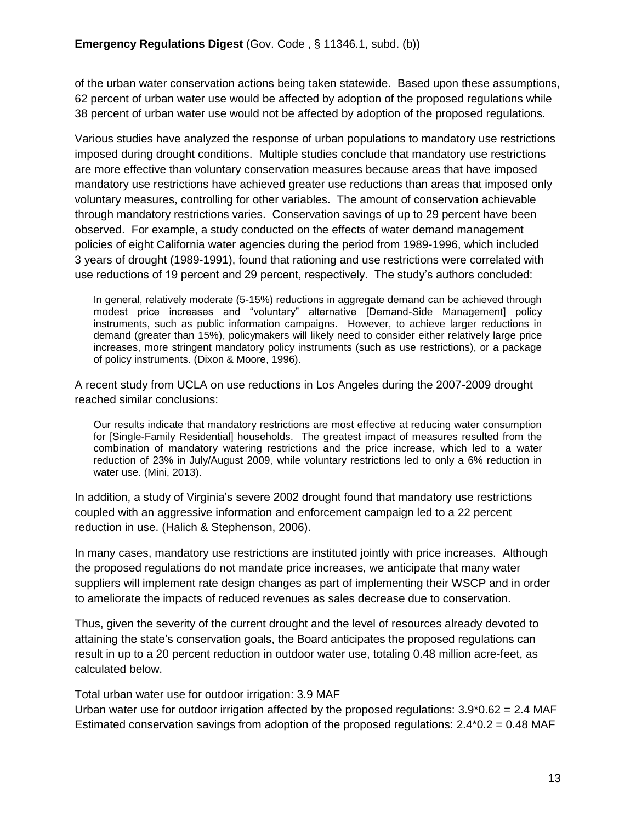of the urban water conservation actions being taken statewide. Based upon these assumptions, 62 percent of urban water use would be affected by adoption of the proposed regulations while 38 percent of urban water use would not be affected by adoption of the proposed regulations.

Various studies have analyzed the response of urban populations to mandatory use restrictions imposed during drought conditions. Multiple studies conclude that mandatory use restrictions are more effective than voluntary conservation measures because areas that have imposed mandatory use restrictions have achieved greater use reductions than areas that imposed only voluntary measures, controlling for other variables. The amount of conservation achievable through mandatory restrictions varies. Conservation savings of up to 29 percent have been observed. For example, a study conducted on the effects of water demand management policies of eight California water agencies during the period from 1989-1996, which included 3 years of drought (1989-1991), found that rationing and use restrictions were correlated with use reductions of 19 percent and 29 percent, respectively. The study's authors concluded:

In general, relatively moderate (5-15%) reductions in aggregate demand can be achieved through modest price increases and "voluntary" alternative [Demand-Side Management] policy instruments, such as public information campaigns. However, to achieve larger reductions in demand (greater than 15%), policymakers will likely need to consider either relatively large price increases, more stringent mandatory policy instruments (such as use restrictions), or a package of policy instruments. (Dixon & Moore, 1996).

A recent study from UCLA on use reductions in Los Angeles during the 2007-2009 drought reached similar conclusions:

Our results indicate that mandatory restrictions are most effective at reducing water consumption for [Single-Family Residential] households. The greatest impact of measures resulted from the combination of mandatory watering restrictions and the price increase, which led to a water reduction of 23% in July/August 2009, while voluntary restrictions led to only a 6% reduction in water use. (Mini, 2013).

In addition, a study of Virginia's severe 2002 drought found that mandatory use restrictions coupled with an aggressive information and enforcement campaign led to a 22 percent reduction in use. (Halich & Stephenson, 2006).

In many cases, mandatory use restrictions are instituted jointly with price increases. Although the proposed regulations do not mandate price increases, we anticipate that many water suppliers will implement rate design changes as part of implementing their WSCP and in order to ameliorate the impacts of reduced revenues as sales decrease due to conservation.

Thus, given the severity of the current drought and the level of resources already devoted to attaining the state's conservation goals, the Board anticipates the proposed regulations can result in up to a 20 percent reduction in outdoor water use, totaling 0.48 million acre-feet, as calculated below.

Total urban water use for outdoor irrigation: 3.9 MAF

Urban water use for outdoor irrigation affected by the proposed regulations:  $3.9*0.62 = 2.4$  MAF Estimated conservation savings from adoption of the proposed regulations: 2.4\*0.2 = 0.48 MAF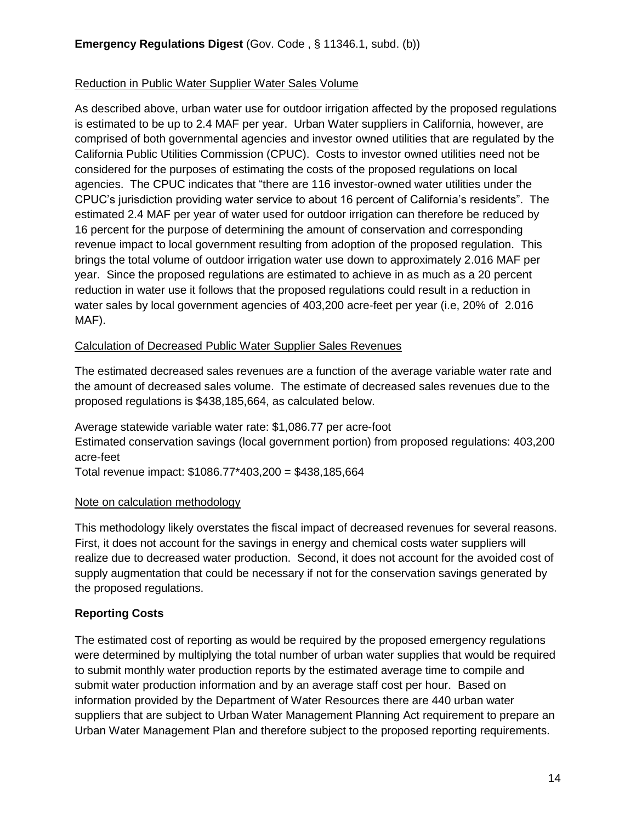### Reduction in Public Water Supplier Water Sales Volume

As described above, urban water use for outdoor irrigation affected by the proposed regulations is estimated to be up to 2.4 MAF per year. Urban Water suppliers in California, however, are comprised of both governmental agencies and investor owned utilities that are regulated by the California Public Utilities Commission (CPUC). Costs to investor owned utilities need not be considered for the purposes of estimating the costs of the proposed regulations on local agencies. The CPUC indicates that "there are 116 investor-owned water utilities under the CPUC's jurisdiction providing water service to about 16 percent of California's residents". The estimated 2.4 MAF per year of water used for outdoor irrigation can therefore be reduced by 16 percent for the purpose of determining the amount of conservation and corresponding revenue impact to local government resulting from adoption of the proposed regulation. This brings the total volume of outdoor irrigation water use down to approximately 2.016 MAF per year. Since the proposed regulations are estimated to achieve in as much as a 20 percent reduction in water use it follows that the proposed regulations could result in a reduction in water sales by local government agencies of 403,200 acre-feet per year (i.e, 20% of 2.016 MAF).

### Calculation of Decreased Public Water Supplier Sales Revenues

The estimated decreased sales revenues are a function of the average variable water rate and the amount of decreased sales volume. The estimate of decreased sales revenues due to the proposed regulations is \$438,185,664, as calculated below.

Average statewide variable water rate: \$1,086.77 per acre-foot Estimated conservation savings (local government portion) from proposed regulations: 403,200 acre-feet

Total revenue impact: \$1086.77\*403,200 = \$438,185,664

# Note on calculation methodology

This methodology likely overstates the fiscal impact of decreased revenues for several reasons. First, it does not account for the savings in energy and chemical costs water suppliers will realize due to decreased water production. Second, it does not account for the avoided cost of supply augmentation that could be necessary if not for the conservation savings generated by the proposed regulations.

# **Reporting Costs**

The estimated cost of reporting as would be required by the proposed emergency regulations were determined by multiplying the total number of urban water supplies that would be required to submit monthly water production reports by the estimated average time to compile and submit water production information and by an average staff cost per hour. Based on information provided by the Department of Water Resources there are 440 urban water suppliers that are subject to Urban Water Management Planning Act requirement to prepare an Urban Water Management Plan and therefore subject to the proposed reporting requirements.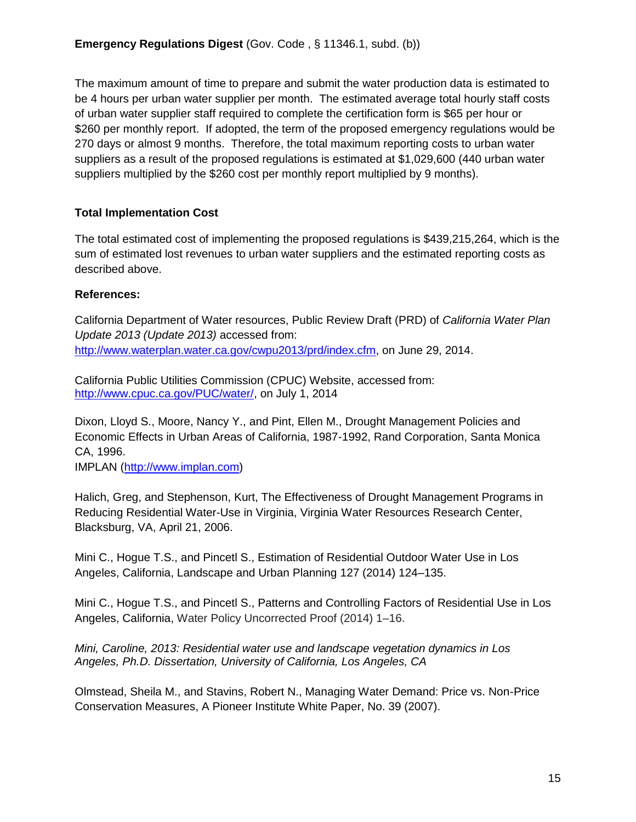The maximum amount of time to prepare and submit the water production data is estimated to be 4 hours per urban water supplier per month. The estimated average total hourly staff costs of urban water supplier staff required to complete the certification form is \$65 per hour or \$260 per monthly report. If adopted, the term of the proposed emergency regulations would be 270 days or almost 9 months. Therefore, the total maximum reporting costs to urban water suppliers as a result of the proposed regulations is estimated at \$1,029,600 (440 urban water suppliers multiplied by the \$260 cost per monthly report multiplied by 9 months).

### **Total Implementation Cost**

The total estimated cost of implementing the proposed regulations is \$439,215,264, which is the sum of estimated lost revenues to urban water suppliers and the estimated reporting costs as described above.

## **References:**

California Department of Water resources, Public Review Draft (PRD) of *California Water Plan Update 2013 (Update 2013)* accessed from: [http://www.waterplan.water.ca.gov/cwpu2013/prd/index.cfm,](http://www.waterplan.water.ca.gov/cwpu2013/prd/index.cfm) on June 29, 2014.

California Public Utilities Commission (CPUC) Website, accessed from: [http://www.cpuc.ca.gov/PUC/water/,](http://www.cpuc.ca.gov/PUC/water/) on July 1, 2014

Dixon, Lloyd S., Moore, Nancy Y., and Pint, Ellen M., Drought Management Policies and Economic Effects in Urban Areas of California, 1987-1992, Rand Corporation, Santa Monica CA, 1996.

IMPLAN [\(http://www.implan.com\)](http://www.implan.com/)

Halich, Greg, and Stephenson, Kurt, The Effectiveness of Drought Management Programs in Reducing Residential Water-Use in Virginia, Virginia Water Resources Research Center, Blacksburg, VA, April 21, 2006.

Mini C., Hogue T.S., and Pincetl S., Estimation of Residential Outdoor Water Use in Los Angeles, California, Landscape and Urban Planning 127 (2014) 124–135.

Mini C., Hogue T.S., and Pincetl S., Patterns and Controlling Factors of Residential Use in Los Angeles, California, Water Policy Uncorrected Proof (2014) 1–16.

*Mini, Caroline, 2013: Residential water use and landscape vegetation dynamics in Los Angeles, Ph.D. Dissertation, University of California, Los Angeles, CA*

Olmstead, Sheila M., and Stavins, Robert N., Managing Water Demand: Price vs. Non-Price Conservation Measures, A Pioneer Institute White Paper, No. 39 (2007).